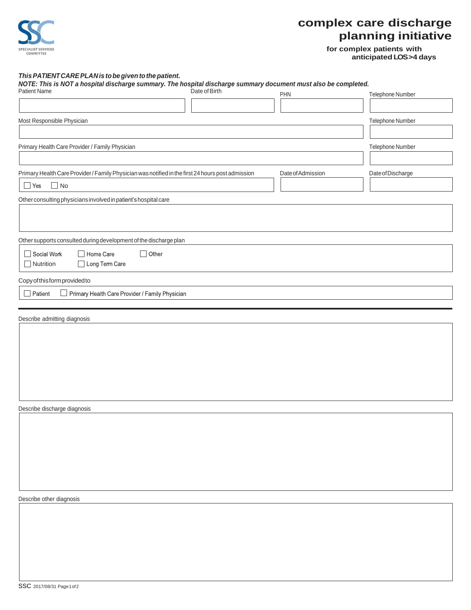

## **complex care discharge planning initiative**

**for complex patients with anticipated LOS >4 days**

*This PATIENT CARE PLAN is tobe given to the patient. NOTE: This is NOT a hospital discharge summary. The hospital discharge summary document must also be completed.* Patient Name **Example 2** Cate of Birth Pate of Birth PHN PHN PHN Telephone Number Most Responsible Physician **Telephone Number** Controller and the Security Physician Telephone Number Telephone Number Primary Health Care Provider / Family Physician Telephone Number of the State of the State of Telephone Number Primary Health Care Provider / Family Physician was notified in the first 24 hours post admission Date of Admission Date of Discharge ■ Yes ■ No Other consulting physicians involved inpatient's hospital care Other supports consulted during development of the discharge plan Social Work  $\Box$  Other Home Care □ Long Term Care **□** Nutrition Copy of this form provided to  $\Box$  Patient Primary Health Care Provider / Family Physician Describe admitting diagnosis Describe discharge diagnosis

Describe other diagnosis